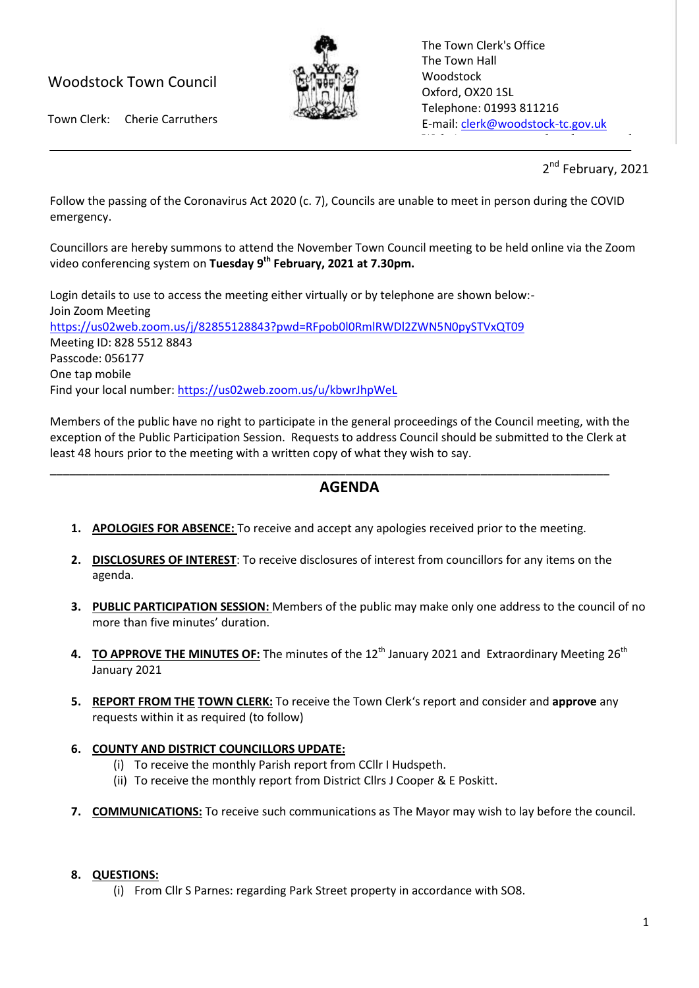# Woodstock Town Council



The Town Clerk's Office The Town Hall Woodstock Oxford, OX20 1SL Telephone: 01993 811216 E-mail[: clerk@woodstock-tc.gov.uk](mailto:clerk@woodstock-tc.gov.uk)

 $W_{\rm eff}$  with  $W_{\rm eff}$  and  $W_{\rm eff}$  woodstock-tc.gov.uk

Town Clerk: Cherie Carruthers

2<sup>nd</sup> February, 2021

Follow the passing of the Coronavirus Act 2020 (c. 7), Councils are unable to meet in person during the COVID emergency.

Councillors are hereby summons to attend the November Town Council meeting to be held online via the Zoom video conferencing system on **Tuesday 9 th February, 2021 at 7.30pm.**

Login details to use to access the meeting either virtually or by telephone are shown below:- Join Zoom Meeting <https://us02web.zoom.us/j/82855128843?pwd=RFpob0l0RmlRWDl2ZWN5N0pySTVxQT09> Meeting ID: 828 5512 8843 Passcode: 056177 One tap mobile Find your local number:<https://us02web.zoom.us/u/kbwrJhpWeL>

Members of the public have no right to participate in the general proceedings of the Council meeting, with the exception of the Public Participation Session. Requests to address Council should be submitted to the Clerk at least 48 hours prior to the meeting with a written copy of what they wish to say.

## **AGENDA**

**1. APOLOGIES FOR ABSENCE:** To receive and accept any apologies received prior to the meeting.

\_\_\_\_\_\_\_\_\_\_\_\_\_\_\_\_\_\_\_\_\_\_\_\_\_\_\_\_\_\_\_\_\_\_\_\_\_\_\_\_\_\_\_\_\_\_\_\_\_\_\_\_\_\_\_\_\_\_\_\_\_\_\_\_\_\_\_\_\_\_\_\_\_\_\_\_\_\_\_\_\_\_\_\_\_\_\_

- **2. DISCLOSURES OF INTEREST**: To receive disclosures of interest from councillors for any items on the agenda.
- **3. PUBLIC PARTICIPATION SESSION:** Members of the public may make only one address to the council of no more than five minutes' duration.
- **4. TO APPROVE THE MINUTES OF:** The minutes of the 12<sup>th</sup> January 2021 and Extraordinary Meeting 26<sup>th</sup> January 2021
- **5. REPORT FROM THE TOWN CLERK:** To receive the Town Clerk's report and consider and **approve** any requests within it as required (to follow)

## **6. COUNTY AND DISTRICT COUNCILLORS UPDATE:**

- (i) To receive the monthly Parish report from CCllr I Hudspeth.
- (ii) To receive the monthly report from District Cllrs J Cooper & E Poskitt.
- **7. COMMUNICATIONS:** To receive such communications as The Mayor may wish to lay before the council.

### **8. QUESTIONS:**

(i) From Cllr S Parnes: regarding Park Street property in accordance with SO8.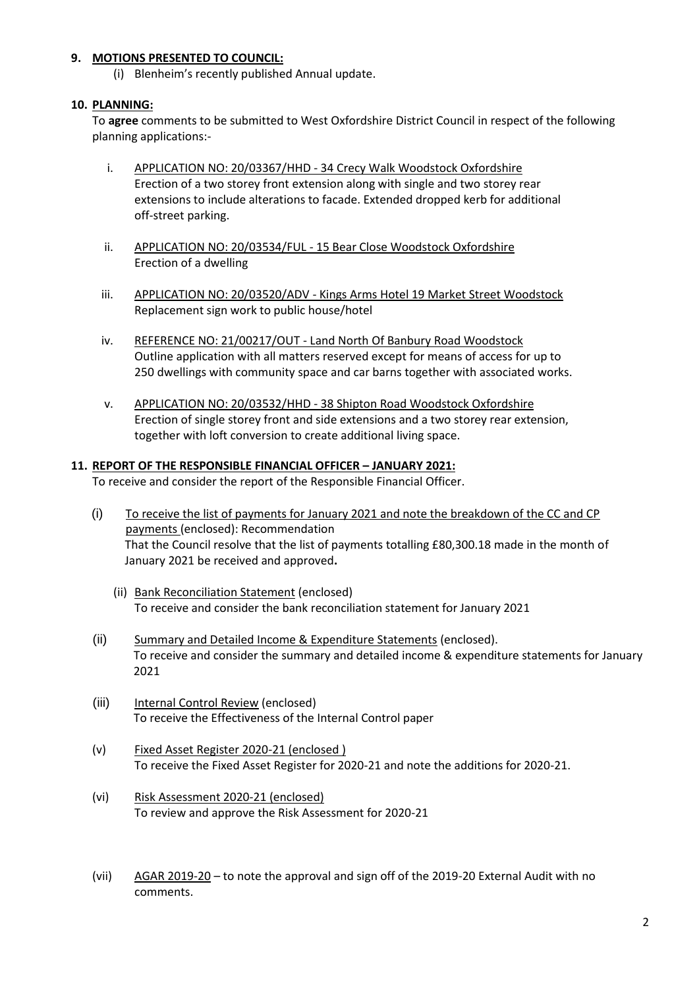### **9. MOTIONS PRESENTED TO COUNCIL:**

(i) Blenheim's recently published Annual update.

#### **10. PLANNING:**

To **agree** comments to be submitted to West Oxfordshire District Council in respect of the following planning applications:-

- i. APPLICATION NO: 20/03367/HHD 34 Crecy Walk Woodstock Oxfordshire Erection of a two storey front extension along with single and two storey rear extensions to include alterations to facade. Extended dropped kerb for additional off-street parking.
- ii. APPLICATION NO: 20/03534/FUL 15 Bear Close Woodstock Oxfordshire Erection of a dwelling
- iii. APPLICATION NO: 20/03520/ADV Kings Arms Hotel 19 Market Street Woodstock Replacement sign work to public house/hotel
- iv. REFERENCE NO: 21/00217/OUT Land North Of Banbury Road Woodstock Outline application with all matters reserved except for means of access for up to 250 dwellings with community space and car barns together with associated works.
- v. APPLICATION NO: 20/03532/HHD 38 Shipton Road Woodstock Oxfordshire Erection of single storey front and side extensions and a two storey rear extension, together with loft conversion to create additional living space.

#### **11. REPORT OF THE RESPONSIBLE FINANCIAL OFFICER – JANUARY 2021:**

To receive and consider the report of the Responsible Financial Officer.

- (i) To receive the list of payments for January 2021 and note the breakdown of the CC and CP payments (enclosed): Recommendation That the Council resolve that the list of payments totalling £80,300.18 made in the month of January 2021 be received and approved**.**
	- (ii) Bank Reconciliation Statement (enclosed) To receive and consider the bank reconciliation statement for January 2021
- (ii) Summary and Detailed Income & Expenditure Statements (enclosed). To receive and consider the summary and detailed income & expenditure statements for January 2021
- (iii) Internal Control Review (enclosed) To receive the Effectiveness of the Internal Control paper
- (v) Fixed Asset Register 2020-21 (enclosed ) To receive the Fixed Asset Register for 2020-21 and note the additions for 2020-21.
- (vi) Risk Assessment 2020-21 (enclosed) To review and approve the Risk Assessment for 2020-21
- (vii) AGAR 2019-20 to note the approval and sign off of the 2019-20 External Audit with no comments.